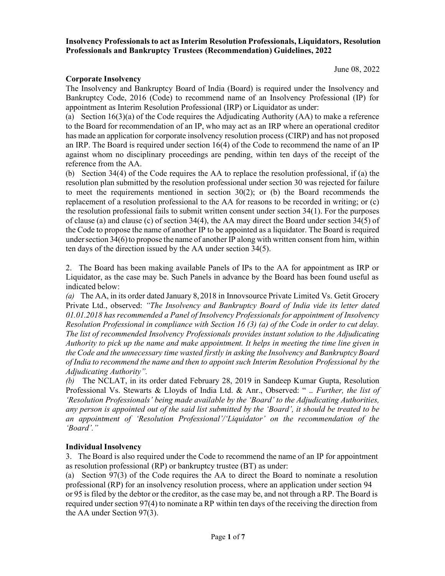Insolvency Professionals to act as Interim Resolution Professionals, Liquidators, Resolution Professionals and Bankruptcy Trustees (Recommendation) Guidelines, 2022

#### Corporate Insolvency

The Insolvency and Bankruptcy Board of India (Board) is required under the Insolvency and Bankruptcy Code, 2016 (Code) to recommend name of an Insolvency Professional (IP) for appointment as Interim Resolution Professional (IRP) or Liquidator as under:

(a) Section 16(3)(a) of the Code requires the Adjudicating Authority (AA) to make a reference to the Board for recommendation of an IP, who may act as an IRP where an operational creditor has made an application for corporate insolvency resolution process (CIRP) and has not proposed an IRP. The Board is required under section 16(4) of the Code to recommend the name of an IP against whom no disciplinary proceedings are pending, within ten days of the receipt of the reference from the AA.

(b) Section 34(4) of the Code requires the AA to replace the resolution professional, if (a) the resolution plan submitted by the resolution professional under section 30 was rejected for failure to meet the requirements mentioned in section 30(2); or (b) the Board recommends the replacement of a resolution professional to the AA for reasons to be recorded in writing; or (c) the resolution professional fails to submit written consent under section 34(1). For the purposes of clause (a) and clause (c) of section 34(4), the AA may direct the Board under section 34(5) of the Code to propose the name of another IP to be appointed as a liquidator. The Board is required under section 34(6) to propose the name of another IP along with written consent from him, within ten days of the direction issued by the AA under section 34(5).

2. The Board has been making available Panels of IPs to the AA for appointment as IRP or Liquidator, as the case may be. Such Panels in advance by the Board has been found useful as indicated below:

(a) The AA, in its order dated January 8, 2018 in Innovsource Private Limited Vs. Getit Grocery Private Ltd., observed: "The Insolvency and Bankruptcy Board of India vide its letter dated 01.01.2018 has recommended a Panel of Insolvency Professionals for appointment of Insolvency Resolution Professional in compliance with Section 16 (3) (a) of the Code in order to cut delay. The list of recommended Insolvency Professionals provides instant solution to the Adjudicating Authority to pick up the name and make appointment. It helps in meeting the time line given in the Code and the unnecessary time wasted firstly in asking the Insolvency and Bankruptcy Board of India to recommend the name and then to appoint such Interim Resolution Professional by the Adjudicating Authority".

(b) The NCLAT, in its order dated February 28, 2019 in Sandeep Kumar Gupta, Resolution Professional Vs. Stewarts & Lloyds of India Ltd. & Anr., Observed: " .. Further, the list of 'Resolution Professionals' being made available by the 'Board' to the Adjudicating Authorities, any person is appointed out of the said list submitted by the 'Board', it should be treated to be an appointment of 'Resolution Professional'/'Liquidator' on the recommendation of the 'Board'."

### Individual Insolvency

3. The Board is also required under the Code to recommend the name of an IP for appointment as resolution professional (RP) or bankruptcy trustee (BT) as under:

(a) Section 97(3) of the Code requires the AA to direct the Board to nominate a resolution professional (RP) for an insolvency resolution process, where an application under section 94 or 95 is filed by the debtor or the creditor, as the case may be, and not through a RP. The Board is required under section 97(4) to nominate a RP within ten days of the receiving the direction from the AA under Section 97(3).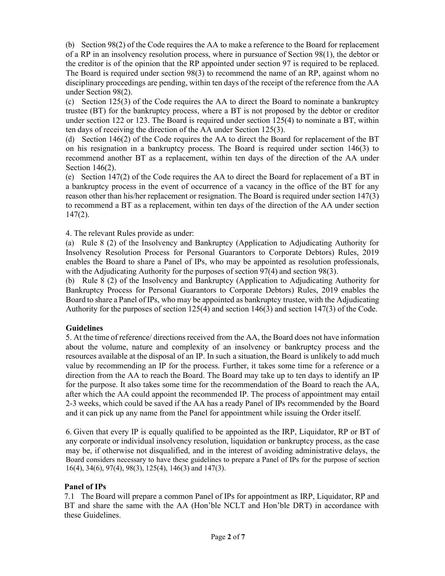(b) Section 98(2) of the Code requires the AA to make a reference to the Board for replacement of a RP in an insolvency resolution process, where in pursuance of Section 98(1), the debtor or the creditor is of the opinion that the RP appointed under section 97 is required to be replaced. The Board is required under section 98(3) to recommend the name of an RP, against whom no disciplinary proceedings are pending, within ten days of the receipt of the reference from the AA under Section 98(2).

(c) Section 125(3) of the Code requires the AA to direct the Board to nominate a bankruptcy trustee (BT) for the bankruptcy process, where a BT is not proposed by the debtor or creditor under section 122 or 123. The Board is required under section 125(4) to nominate a BT, within ten days of receiving the direction of the AA under Section 125(3).

(d) Section 146(2) of the Code requires the AA to direct the Board for replacement of the BT on his resignation in a bankruptcy process. The Board is required under section 146(3) to recommend another BT as a replacement, within ten days of the direction of the AA under Section 146(2).

(e) Section 147(2) of the Code requires the AA to direct the Board for replacement of a BT in a bankruptcy process in the event of occurrence of a vacancy in the office of the BT for any reason other than his/her replacement or resignation. The Board is required under section 147(3) to recommend a BT as a replacement, within ten days of the direction of the AA under section 147(2).

4. The relevant Rules provide as under:

(a) Rule 8 (2) of the Insolvency and Bankruptcy (Application to Adjudicating Authority for Insolvency Resolution Process for Personal Guarantors to Corporate Debtors) Rules, 2019 enables the Board to share a Panel of IPs, who may be appointed as resolution professionals, with the Adjudicating Authority for the purposes of section 97(4) and section 98(3).

(b) Rule 8 (2) of the Insolvency and Bankruptcy (Application to Adjudicating Authority for Bankruptcy Process for Personal Guarantors to Corporate Debtors) Rules, 2019 enables the Board to share a Panel of IPs, who may be appointed as bankruptcy trustee, with the Adjudicating Authority for the purposes of section 125(4) and section 146(3) and section 147(3) of the Code.

## Guidelines

5. At the time of reference/ directions received from the AA, the Board does not have information about the volume, nature and complexity of an insolvency or bankruptcy process and the resources available at the disposal of an IP. In such a situation, the Board is unlikely to add much value by recommending an IP for the process. Further, it takes some time for a reference or a direction from the AA to reach the Board. The Board may take up to ten days to identify an IP for the purpose. It also takes some time for the recommendation of the Board to reach the AA, after which the AA could appoint the recommended IP. The process of appointment may entail 2-3 weeks, which could be saved if the AA has a ready Panel of IPs recommended by the Board and it can pick up any name from the Panel for appointment while issuing the Order itself.

6. Given that every IP is equally qualified to be appointed as the IRP, Liquidator, RP or BT of any corporate or individual insolvency resolution, liquidation or bankruptcy process, as the case may be, if otherwise not disqualified, and in the interest of avoiding administrative delays, the Board considers necessary to have these guidelines to prepare a Panel of IPs for the purpose of section 16(4), 34(6), 97(4), 98(3), 125(4), 146(3) and 147(3).

## Panel of IPs

7.1 The Board will prepare a common Panel of IPs for appointment as IRP, Liquidator, RP and BT and share the same with the AA (Hon'ble NCLT and Hon'ble DRT) in accordance with these Guidelines.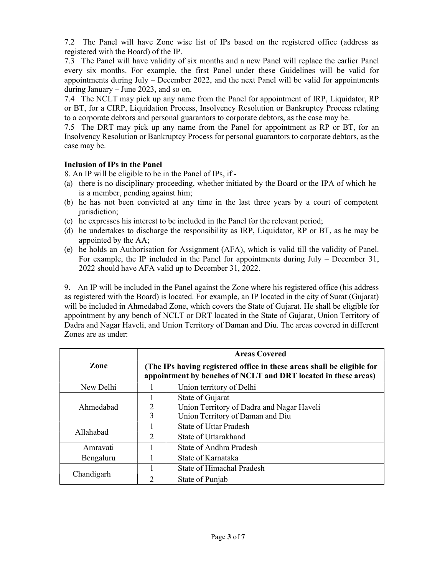7.2 The Panel will have Zone wise list of IPs based on the registered office (address as registered with the Board) of the IP.

7.3 The Panel will have validity of six months and a new Panel will replace the earlier Panel every six months. For example, the first Panel under these Guidelines will be valid for appointments during July – December 2022, and the next Panel will be valid for appointments during January – June 2023, and so on.

7.4 The NCLT may pick up any name from the Panel for appointment of IRP, Liquidator, RP or BT, for a CIRP, Liquidation Process, Insolvency Resolution or Bankruptcy Process relating to a corporate debtors and personal guarantors to corporate debtors, as the case may be.

7.5 The DRT may pick up any name from the Panel for appointment as RP or BT, for an Insolvency Resolution or Bankruptcy Process for personal guarantors to corporate debtors, as the case may be.

# Inclusion of IPs in the Panel

8. An IP will be eligible to be in the Panel of IPs, if -

- (a) there is no disciplinary proceeding, whether initiated by the Board or the IPA of which he is a member, pending against him;
- (b) he has not been convicted at any time in the last three years by a court of competent jurisdiction;
- (c) he expresses his interest to be included in the Panel for the relevant period;
- (d) he undertakes to discharge the responsibility as IRP, Liquidator, RP or BT, as he may be appointed by the AA;
- (e) he holds an Authorisation for Assignment (AFA), which is valid till the validity of Panel. For example, the IP included in the Panel for appointments during July – December 31, 2022 should have AFA valid up to December 31, 2022.

9. An IP will be included in the Panel against the Zone where his registered office (his address as registered with the Board) is located. For example, an IP located in the city of Surat (Gujarat) will be included in Ahmedabad Zone, which covers the State of Gujarat. He shall be eligible for appointment by any bench of NCLT or DRT located in the State of Gujarat, Union Territory of Dadra and Nagar Haveli, and Union Territory of Daman and Diu. The areas covered in different Zones are as under:

|            | <b>Areas Covered</b>                                                                                                                     |                                           |  |  |
|------------|------------------------------------------------------------------------------------------------------------------------------------------|-------------------------------------------|--|--|
| Zone       | (The IPs having registered office in these areas shall be eligible for<br>appointment by benches of NCLT and DRT located in these areas) |                                           |  |  |
| New Delhi  |                                                                                                                                          | Union territory of Delhi                  |  |  |
|            |                                                                                                                                          | State of Gujarat                          |  |  |
| Ahmedabad  | 2                                                                                                                                        | Union Territory of Dadra and Nagar Haveli |  |  |
|            | 3                                                                                                                                        | Union Territory of Daman and Diu          |  |  |
| Allahabad  |                                                                                                                                          | State of Uttar Pradesh                    |  |  |
|            | $\mathcal{D}_{\mathcal{A}}$                                                                                                              | State of Uttarakhand                      |  |  |
| Amravati   |                                                                                                                                          | State of Andhra Pradesh                   |  |  |
| Bengaluru  | State of Karnataka                                                                                                                       |                                           |  |  |
|            |                                                                                                                                          | State of Himachal Pradesh                 |  |  |
| Chandigarh | っ                                                                                                                                        | State of Punjab                           |  |  |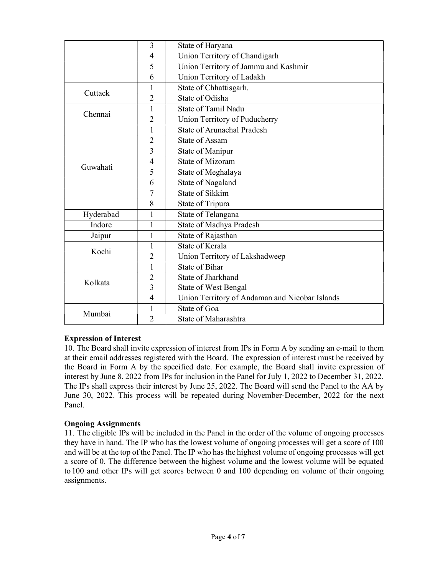|                | 3                       | State of Haryana                               |  |  |
|----------------|-------------------------|------------------------------------------------|--|--|
|                | 4                       | Union Territory of Chandigarh                  |  |  |
|                | 5                       | Union Territory of Jammu and Kashmir           |  |  |
|                | 6                       | Union Territory of Ladakh                      |  |  |
|                | 1                       | State of Chhattisgarh.                         |  |  |
| Cuttack        | 2                       | State of Odisha                                |  |  |
| Chennai        | 1                       | State of Tamil Nadu                            |  |  |
|                | 2                       | Union Territory of Puducherry                  |  |  |
|                | 1                       | <b>State of Arunachal Pradesh</b>              |  |  |
|                | $\overline{2}$          | <b>State of Assam</b>                          |  |  |
|                | 3                       | State of Manipur                               |  |  |
|                | 4                       | State of Mizoram                               |  |  |
| Guwahati       | 5                       | State of Meghalaya                             |  |  |
|                | 6                       | State of Nagaland                              |  |  |
|                | 7                       | State of Sikkim                                |  |  |
|                | 8                       | State of Tripura                               |  |  |
| Hyderabad<br>1 |                         | State of Telangana                             |  |  |
| Indore         | 1                       | State of Madhya Pradesh                        |  |  |
| Jaipur         | State of Rajasthan<br>1 |                                                |  |  |
| Kochi          | 1                       | State of Kerala                                |  |  |
|                | 2                       | Union Territory of Lakshadweep                 |  |  |
| Kolkata        | 1                       | State of Bihar                                 |  |  |
|                | 2                       | State of Jharkhand                             |  |  |
|                | 3                       | <b>State of West Bengal</b>                    |  |  |
|                | 4                       | Union Territory of Andaman and Nicobar Islands |  |  |
| Mumbai         | 1                       | State of Goa                                   |  |  |
|                | 2                       | State of Maharashtra                           |  |  |

## Expression of Interest

10. The Board shall invite expression of interest from IPs in Form A by sending an e-mail to them at their email addresses registered with the Board. The expression of interest must be received by the Board in Form A by the specified date. For example, the Board shall invite expression of interest by June 8, 2022 from IPs for inclusion in the Panel for July 1, 2022 to December 31, 2022. The IPs shall express their interest by June 25, 2022. The Board will send the Panel to the AA by June 30, 2022. This process will be repeated during November-December, 2022 for the next Panel.

## Ongoing Assignments

11. The eligible IPs will be included in the Panel in the order of the volume of ongoing processes they have in hand. The IP who has the lowest volume of ongoing processes will get a score of 100 and will be at the top of the Panel. The IP who has the highest volume of ongoing processes will get a score of 0. The difference between the highest volume and the lowest volume will be equated to 100 and other IPs will get scores between 0 and 100 depending on volume of their ongoing assignments.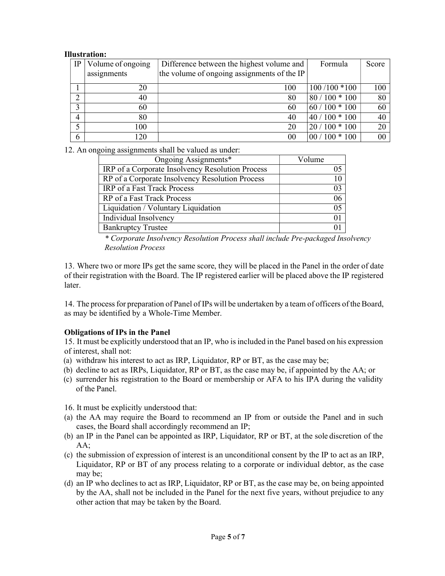### Illustration:

| IP             | Volume of ongoing | Difference between the highest volume and   | Formula         | Score |
|----------------|-------------------|---------------------------------------------|-----------------|-------|
|                | assignments       | the volume of ongoing assignments of the IP |                 |       |
|                | 20                | 100                                         | $100/100 * 100$ | 100   |
| ⌒              | 40                | 80                                          | $80/100 * 100$  | 80    |
|                | 60                | 60                                          | $60/100 * 100$  | 60    |
| $\overline{4}$ | 80                | 40                                          | $140/100 * 100$ | 40    |
|                | 100               | 20                                          | $20/100 * 100$  | 20    |
| 6              | 120               | 00                                          | $00/100 * 100$  | 00    |

12. An ongoing assignments shall be valued as under:

| Ongoing Assignments*                             | Volume |
|--------------------------------------------------|--------|
| IRP of a Corporate Insolvency Resolution Process | 05     |
| RP of a Corporate Insolvency Resolution Process  | 10     |
| IRP of a Fast Track Process                      | 03     |
| RP of a Fast Track Process                       | 06     |
| Liquidation / Voluntary Liquidation              | 05     |
| Individual Insolvency                            | 01     |
| <b>Bankruptcy Trustee</b>                        |        |

\* Corporate Insolvency Resolution Process shall include Pre-packaged Insolvency Resolution Process

13. Where two or more IPs get the same score, they will be placed in the Panel in the order of date of their registration with the Board. The IP registered earlier will be placed above the IP registered later.

14. The process for preparation of Panel of IPs will be undertaken by a team of officers of the Board, as may be identified by a Whole-Time Member.

## Obligations of IPs in the Panel

15. It must be explicitly understood that an IP, who is included in the Panel based on his expression of interest, shall not:

- (a) withdraw his interest to act as IRP, Liquidator, RP or BT, as the case may be;
- (b) decline to act as IRPs, Liquidator, RP or BT, as the case may be, if appointed by the AA; or
- (c) surrender his registration to the Board or membership or AFA to his IPA during the validity of the Panel.

16. It must be explicitly understood that:

- (a) the AA may require the Board to recommend an IP from or outside the Panel and in such cases, the Board shall accordingly recommend an IP;
- (b) an IP in the Panel can be appointed as IRP, Liquidator, RP or BT, at the sole discretion of the AA;
- (c) the submission of expression of interest is an unconditional consent by the IP to act as an IRP, Liquidator, RP or BT of any process relating to a corporate or individual debtor, as the case may be;
- (d) an IP who declines to act as IRP, Liquidator, RP or BT, as the case may be, on being appointed by the AA, shall not be included in the Panel for the next five years, without prejudice to any other action that may be taken by the Board.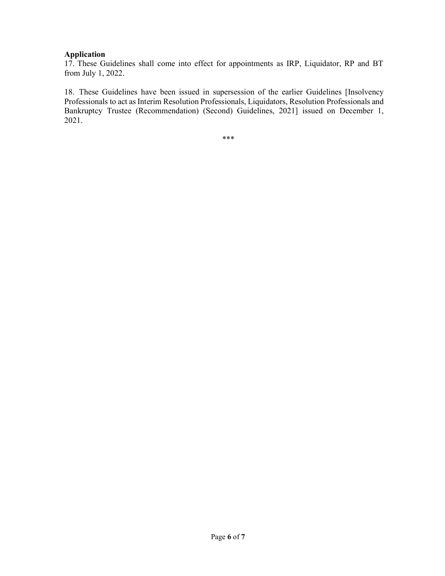## Application

17. These Guidelines shall come into effect for appointments as IRP, Liquidator, RP and BT from July 1, 2022.

18. These Guidelines have been issued in supersession of the earlier Guidelines [Insolvency Professionals to act as Interim Resolution Professionals, Liquidators, Resolution Professionals and Bankruptcy Trustee (Recommendation) (Second) Guidelines, 2021] issued on December 1, 2021.

\*\*\*